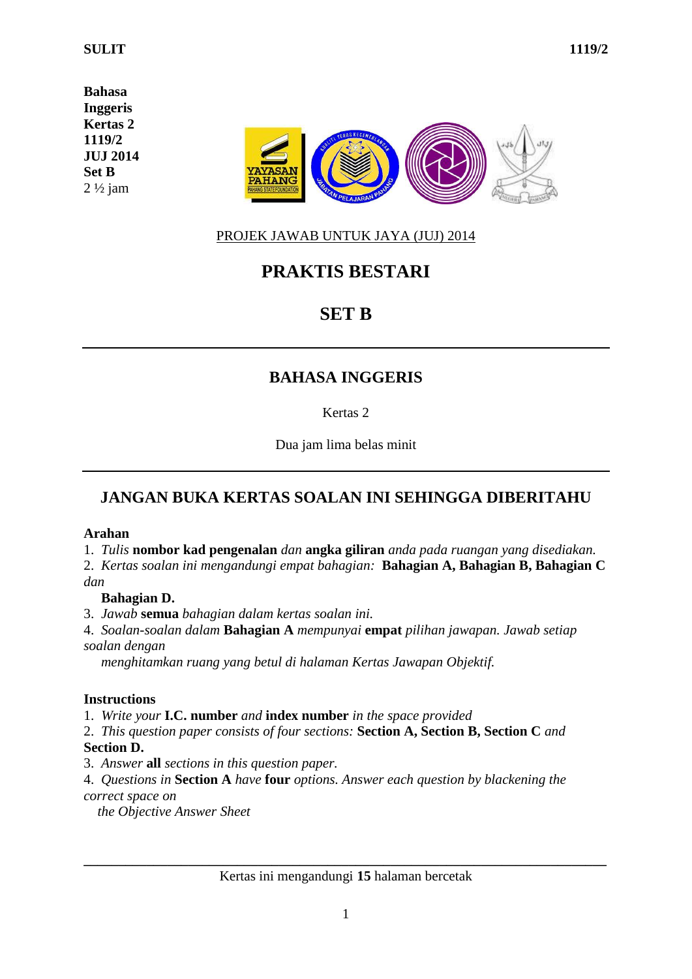**Bahasa Inggeris Kertas 2 1119/2 JUJ 2014 Set B** 2 ½ jam



## PROJEK JAWAB UNTUK JAYA (JUJ) 2014

# **PRAKTIS BESTARI**

# **SET B**

# **BAHASA INGGERIS**

### Kertas 2

Dua jam lima belas minit

# **JANGAN BUKA KERTAS SOALAN INI SEHINGGA DIBERITAHU**

#### **Arahan**

- 1. *Tulis* **nombor kad pengenalan** *dan* **angka giliran** *anda pada ruangan yang disediakan.*
- 2. *Kertas soalan ini mengandungi empat bahagian:* **Bahagian A, Bahagian B, Bahagian C**  *dan*

#### **Bahagian D.**

- 3. *Jawab* **semua** *bahagian dalam kertas soalan ini.*
- 4. *Soalan-soalan dalam* **Bahagian A** *mempunyai* **empat** *pilihan jawapan. Jawab setiap soalan dengan*

 *menghitamkan ruang yang betul di halaman Kertas Jawapan Objektif.*

#### **Instructions**

- 1. *Write your* **I.C. number** *and* **index number** *in the space provided*
- 2. *This question paper consists of four sections:* **Section A, Section B, Section C** *and*  **Section D.**
- 3. *Answer* **all** *sections in this question paper.*
- 4. *Questions in* **Section A** *have* **four** *options. Answer each question by blackening the correct space on*

 *the Objective Answer Sheet*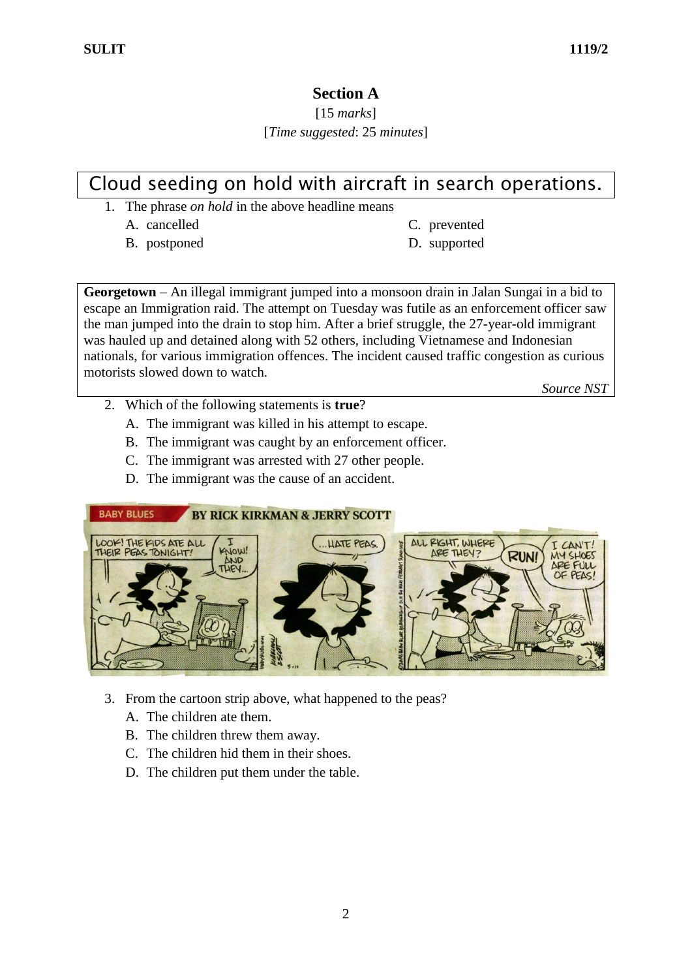# **Section A**

[15 *marks*] [*Time suggested*: 25 *minutes*]

# Cloud seeding on hold with aircraft in search operations.

- 1. The phrase *on hold* in the above headline means
	- A. cancelled
	- B. postponed
- C. prevented
- D. supported

**Georgetown** – An illegal immigrant jumped into a monsoon drain in Jalan Sungai in a bid to escape an Immigration raid. The attempt on Tuesday was futile as an enforcement officer saw the man jumped into the drain to stop him. After a brief struggle, the 27-year-old immigrant was hauled up and detained along with 52 others, including Vietnamese and Indonesian nationals, for various immigration offences. The incident caused traffic congestion as curious motorists slowed down to watch.

*Source NST*

- 2. Which of the following statements is **true**?
	- A. The immigrant was killed in his attempt to escape.
	- B. The immigrant was caught by an enforcement officer.
	- C. The immigrant was arrested with 27 other people.
	- D. The immigrant was the cause of an accident.

#### **BABY BLUES BY RICK KIRKMAN & JERRY SCOTT**



- 3. From the cartoon strip above, what happened to the peas?
	- A. The children ate them.
	- B. The children threw them away.
	- C. The children hid them in their shoes.
	- D. The children put them under the table.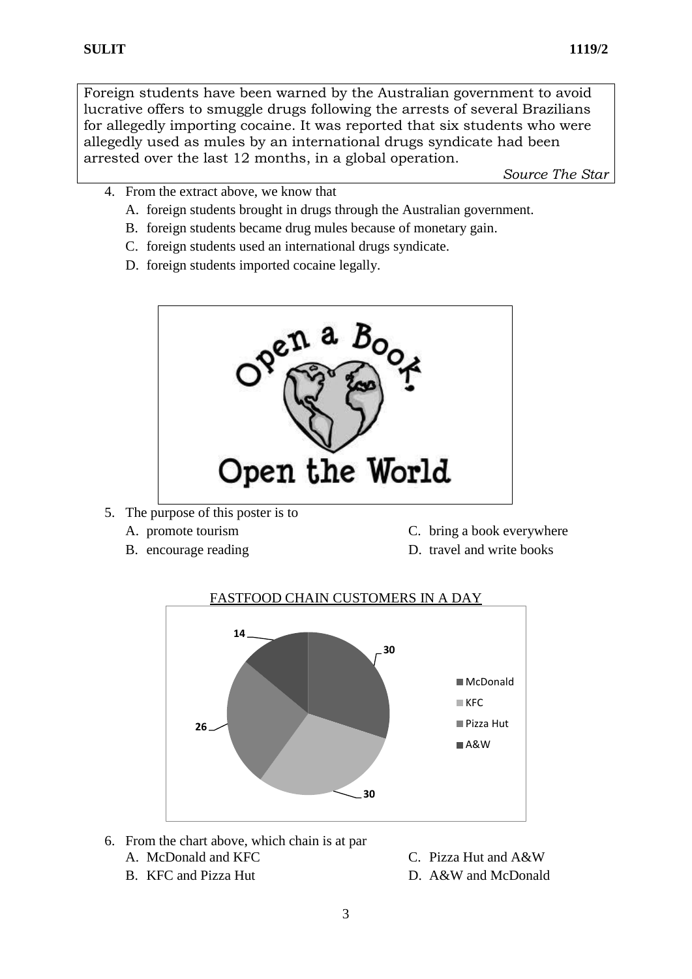*Source The Star*

- 4. From the extract above, we know that
	- A. foreign students brought in drugs through the Australian government.
	- B. foreign students became drug mules because of monetary gain.
	- C. foreign students used an international drugs syndicate.
	- D. foreign students imported cocaine legally.



- 5. The purpose of this poster is to
	- A. promote tourism
	- B. encourage reading
- C. bring a book everywhere
- D. travel and write books



- 6. From the chart above, which chain is at par
	- A. McDonald and KFC
	- B. KFC and Pizza Hut
- C. Pizza Hut and A&W
- D. A&W and McDonald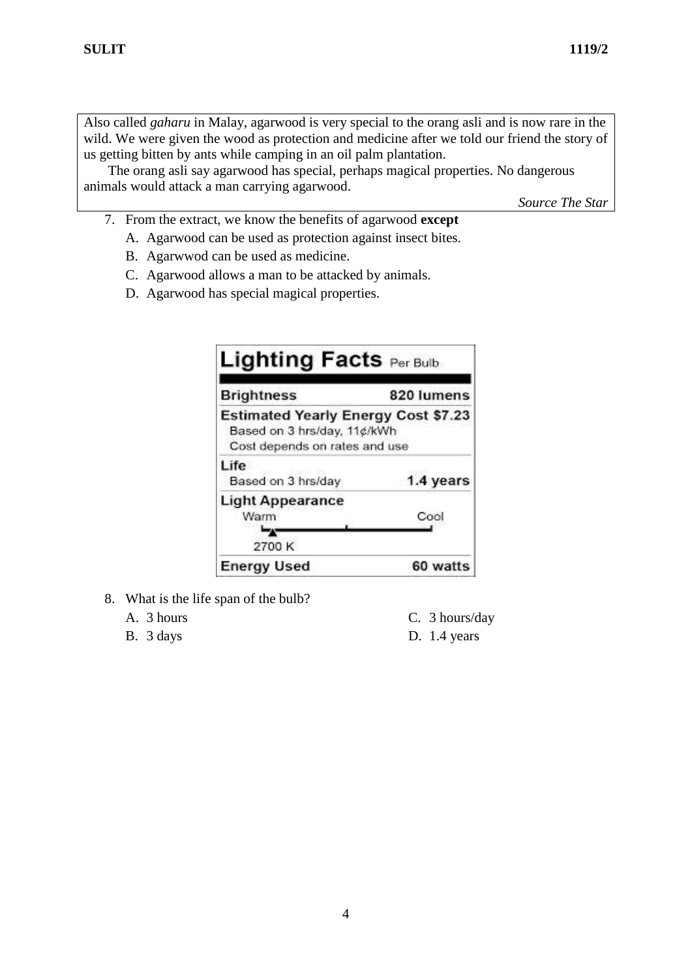Also called *gaharu* in Malay, agarwood is very special to the orang asli and is now rare in the wild. We were given the wood as protection and medicine after we told our friend the story of us getting bitten by ants while camping in an oil palm plantation.

 The orang asli say agarwood has special, perhaps magical properties. No dangerous animals would attack a man carrying agarwood.

*Source The Star*

- 7. From the extract, we know the benefits of agarwood **except**
	- A. Agarwood can be used as protection against insect bites.
	- B. Agarwwod can be used as medicine.
	- C. Agarwood allows a man to be attacked by animals.
	- D. Agarwood has special magical properties.

| Lighting Facts <sub>Per Bulb</sub>                                                                         |            |
|------------------------------------------------------------------------------------------------------------|------------|
| <b>Brightness</b>                                                                                          | 820 lumens |
| <b>Estimated Yearly Energy Cost \$7.23</b><br>Based on 3 hrs/day, 11¢/kWh<br>Cost depends on rates and use |            |
| Life<br>Based on 3 hrs/day                                                                                 | 1.4 years  |
| <b>Light Appearance</b><br>Warm<br>2700 K                                                                  | Cool       |
| <b>Energy Used</b>                                                                                         | 60 watts   |

- 8. What is the life span of the bulb?
	- A. 3 hours
	- B. 3 days
- C. 3 hours/day
- D. 1.4 years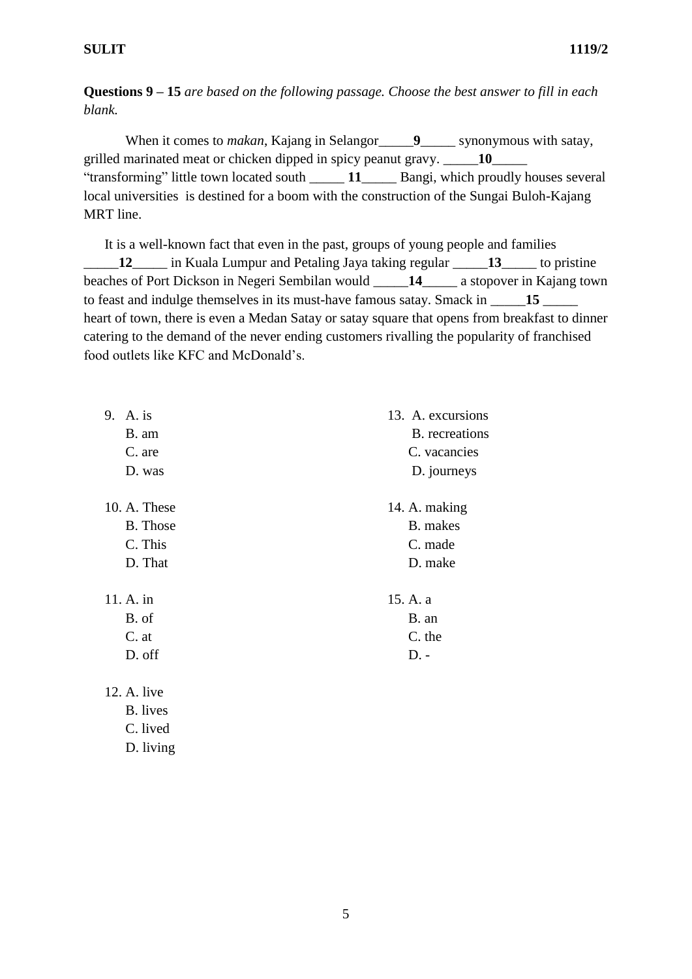C. lived D. living

**Questions 9 – 15** *are based on the following passage. Choose the best answer to fill in each blank.*

When it comes to *makan*, Kajang in Selangor\_\_\_\_\_9\_\_\_\_\_\_ synonymous with satay, grilled marinated meat or chicken dipped in spicy peanut gravy. \_\_\_\_\_**10**\_\_\_\_\_ "transforming" little town located south \_\_\_\_\_ **11**\_\_\_\_\_ Bangi, which proudly houses several local universities is destined for a boom with the construction of the Sungai Buloh-Kajang MRT line.

It is a well-known fact that even in the past, groups of young people and families

\_\_\_\_\_**12**\_\_\_\_\_ in Kuala Lumpur and Petaling Jaya taking regular \_\_\_\_\_**13**\_\_\_\_\_ to pristine beaches of Port Dickson in Negeri Sembilan would \_\_\_\_\_**14**\_\_\_\_\_ a stopover in Kajang town to feast and indulge themselves in its must-have famous satay. Smack in  $\qquad 15$ heart of town, there is even a Medan Satay or satay square that opens from breakfast to dinner catering to the demand of the never ending customers rivalling the popularity of franchised food outlets like KFC and McDonald's.

| 9.<br>A. is     | 13. A. excursions |
|-----------------|-------------------|
| B. am           | B. recreations    |
| C. are          | C. vacancies      |
| D. was          | D. journeys       |
| 10. A. These    | 14. A. making     |
| <b>B.</b> Those | B. makes          |
| C. This         | C. made           |
| D. That         | D. make           |
| 11. A. in       | 15. A. a          |
| B. of           | B. an             |
| C. at           | C. the            |
| D. off          | $D -$             |
| 12. A. live     |                   |
| <b>B.</b> lives |                   |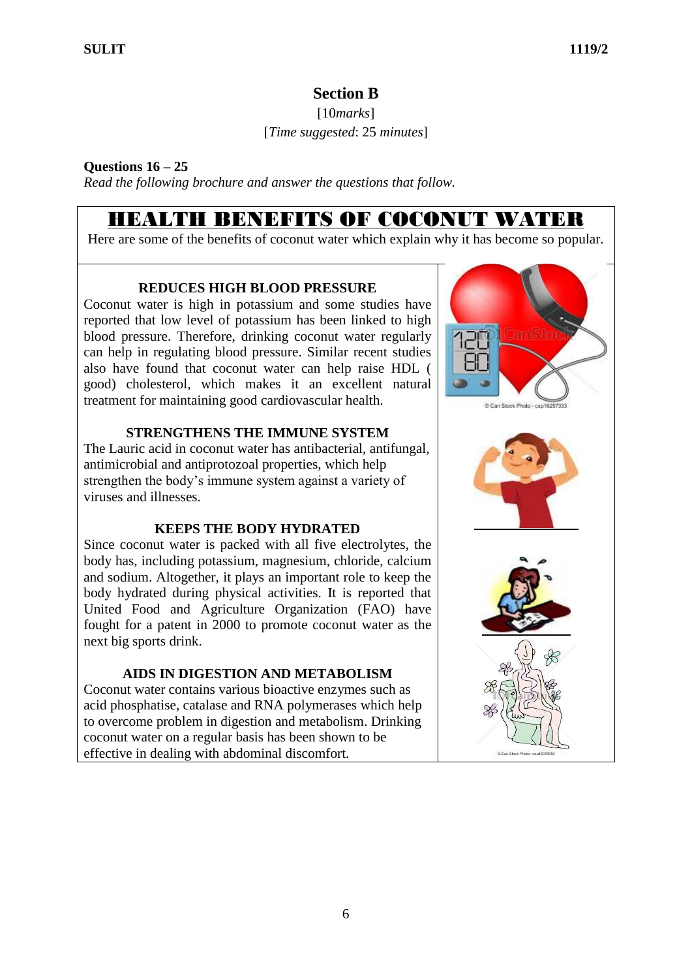# **Section B**

[10*marks*]

[*Time suggested*: 25 *minutes*]

#### **Questions 16 – 25**

*Read the following brochure and answer the questions that follow.*

# HEALTH BENEFITS OF COCONUT WATER

Here are some of the benefits of coconut water which explain why it has become so popular.

#### **REDUCES HIGH BLOOD PRESSURE**

Coconut water is high in potassium and some studies have reported that low level of potassium has been linked to high blood pressure. Therefore, drinking coconut water regularly can help in regulating blood pressure. Similar recent studies also have found that coconut water can help raise HDL ( good) cholesterol, which makes it an excellent natural treatment for maintaining good cardiovascular health.

#### **STRENGTHENS THE IMMUNE SYSTEM**

The Lauric acid in coconut water has antibacterial, antifungal, antimicrobial and antiprotozoal properties, which help strengthen the body's immune system against a variety of viruses and illnesses.

#### **KEEPS THE BODY HYDRATED**

Since coconut water is packed with all five electrolytes, the body has, including potassium, magnesium, chloride, calcium and sodium. Altogether, it plays an important role to keep the body hydrated during physical activities. It is reported that United Food and Agriculture Organization (FAO) have fought for a patent in 2000 to promote coconut water as the next big sports drink.

#### **AIDS IN DIGESTION AND METABOLISM**

Coconut water contains various bioactive enzymes such as acid phosphatise, catalase and RNA polymerases which help to overcome problem in digestion and metabolism. Drinking coconut water on a regular basis has been shown to be effective in dealing with abdominal discomfort.

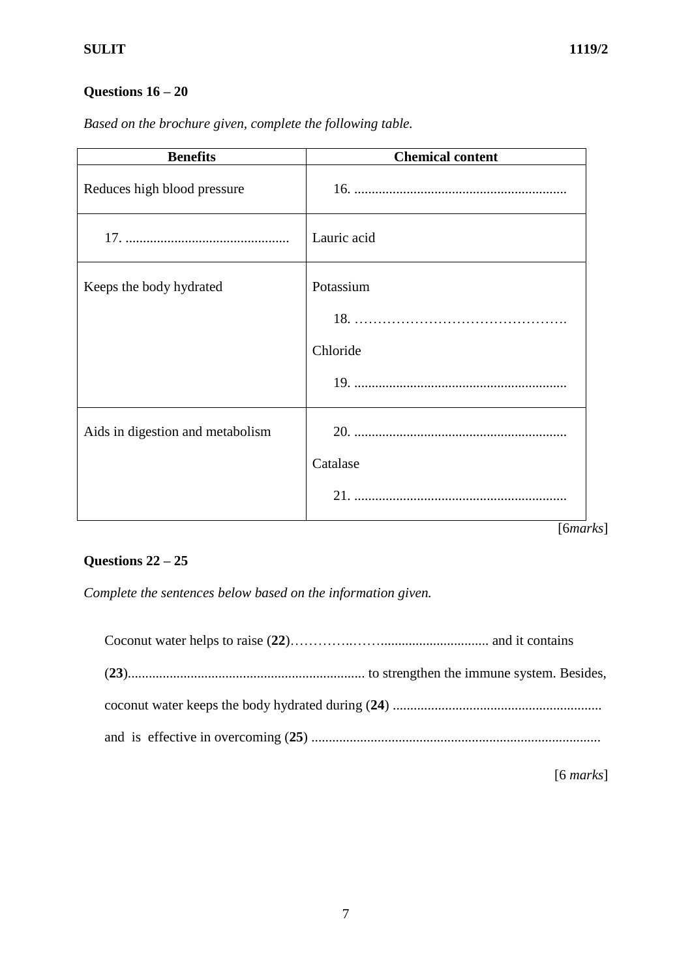# **Questions 16 – 20**

*Based on the brochure given, complete the following table.*

| <b>Benefits</b>                  | <b>Chemical content</b> |
|----------------------------------|-------------------------|
| Reduces high blood pressure      |                         |
|                                  | Lauric acid             |
| Keeps the body hydrated          | Potassium               |
|                                  | Chloride                |
|                                  |                         |
| Aids in digestion and metabolism |                         |
|                                  | Catalase                |
|                                  |                         |
|                                  | [6 marks]               |

# **Questions 22 – 25**

*Complete the sentences below based on the information given.*

[6 *marks*]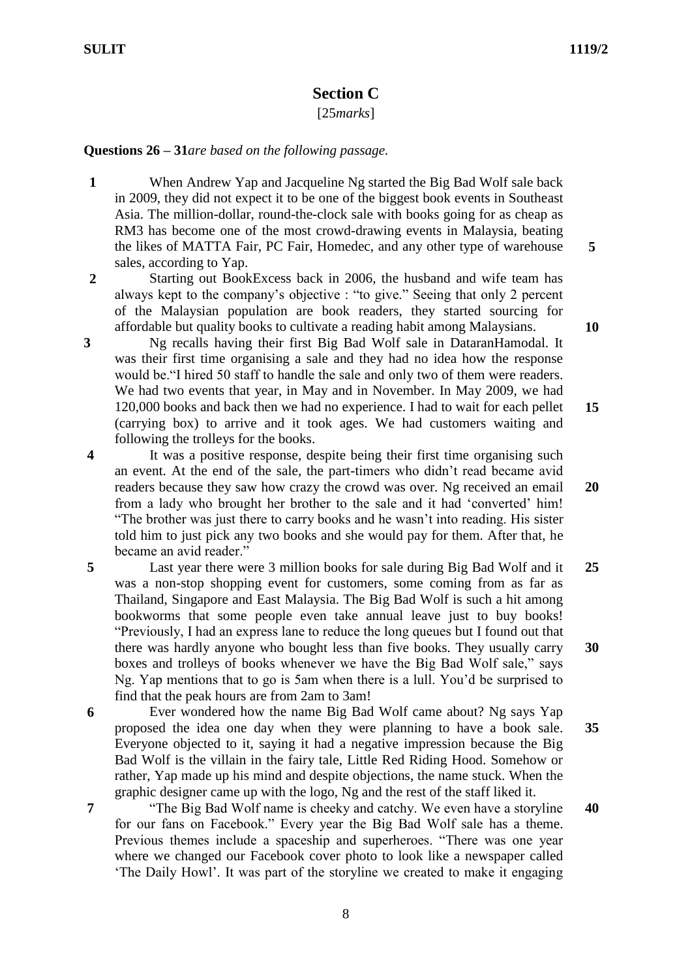**7**

**5**

**10**

**15**

**40**

#### **Section C**

#### [25*marks*]

#### **Questions 26 – 31***are based on the following passage.*

- **1** When Andrew Yap and Jacqueline Ng started the Big Bad Wolf sale back in 2009, they did not expect it to be one of the biggest book events in Southeast Asia. The million-dollar, round-the-clock sale with books going for as cheap as RM3 has become one of the most crowd-drawing events in Malaysia, beating the likes of MATTA Fair, PC Fair, Homedec, and any other type of warehouse sales, according to Yap.
- **2** Starting out BookExcess back in 2006, the husband and wife team has always kept to the company's objective : "to give." Seeing that only 2 percent of the Malaysian population are book readers, they started sourcing for affordable but quality books to cultivate a reading habit among Malaysians.
- **3** Ng recalls having their first Big Bad Wolf sale in DataranHamodal. It was their first time organising a sale and they had no idea how the response would be."I hired 50 staff to handle the sale and only two of them were readers. We had two events that year, in May and in November. In May 2009, we had 120,000 books and back then we had no experience. I had to wait for each pellet (carrying box) to arrive and it took ages. We had customers waiting and following the trolleys for the books.
- **4** It was a positive response, despite being their first time organising such an event. At the end of the sale, the part-timers who didn't read became avid readers because they saw how crazy the crowd was over. Ng received an email from a lady who brought her brother to the sale and it had 'converted' him! "The brother was just there to carry books and he wasn't into reading. His sister told him to just pick any two books and she would pay for them. After that, he became an avid reader." **20**
- **5** Last year there were 3 million books for sale during Big Bad Wolf and it was a non-stop shopping event for customers, some coming from as far as Thailand, Singapore and East Malaysia. The Big Bad Wolf is such a hit among bookworms that some people even take annual leave just to buy books! "Previously, I had an express lane to reduce the long queues but I found out that there was hardly anyone who bought less than five books. They usually carry boxes and trolleys of books whenever we have the Big Bad Wolf sale," says Ng. Yap mentions that to go is 5am when there is a lull. You'd be surprised to find that the peak hours are from 2am to 3am! **25 30**
- **6** Ever wondered how the name Big Bad Wolf came about? Ng says Yap proposed the idea one day when they were planning to have a book sale. Everyone objected to it, saying it had a negative impression because the Big Bad Wolf is the villain in the fairy tale, Little Red Riding Hood. Somehow or rather, Yap made up his mind and despite objections, the name stuck. When the graphic designer came up with the logo, Ng and the rest of the staff liked it. **35**
	- "The Big Bad Wolf name is cheeky and catchy. We even have a storyline for our fans on Facebook." Every year the Big Bad Wolf sale has a theme. Previous themes include a spaceship and superheroes. "There was one year where we changed our Facebook cover photo to look like a newspaper called 'The Daily Howl'. It was part of the storyline we created to make it engaging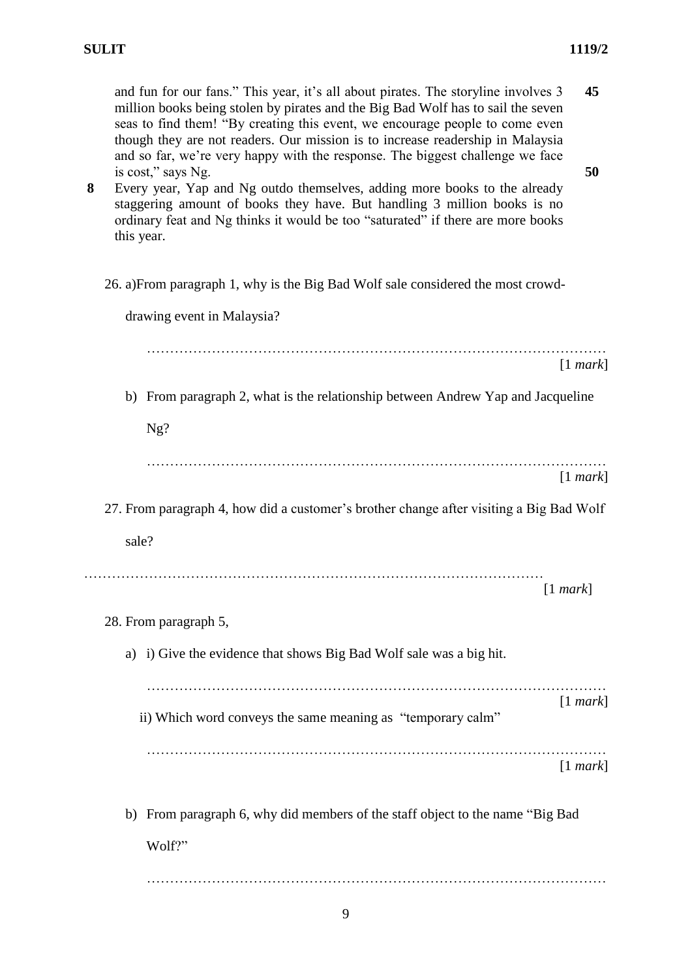**8** and fun for our fans." This year, it's all about pirates. The storyline involves 3 million books being stolen by pirates and the Big Bad Wolf has to sail the seven seas to find them! "By creating this event, we encourage people to come even though they are not readers. Our mission is to increase readership in Malaysia and so far, we're very happy with the response. The biggest challenge we face is cost," says Ng. Every year, Yap and Ng outdo themselves, adding more books to the already staggering amount of books they have. But handling 3 million books is no ordinary feat and Ng thinks it would be too "saturated" if there are more books this year. **45 50** 26. a)From paragraph 1, why is the Big Bad Wolf sale considered the most crowddrawing event in Malaysia? ……………………………………………………………………………………… [1 *mark*] b) From paragraph 2, what is the relationship between Andrew Yap and Jacqueline Ng? ……………………………………………………………………………………… [1 *mark*] 27. From paragraph 4, how did a customer's brother change after visiting a Big Bad Wolf sale? ……………………………………………………………………………………… [1 *mark*] 28. From paragraph 5, a) i) Give the evidence that shows Big Bad Wolf sale was a big hit. ……………………………………………………………………………………… [1 *mark*] ii) Which word conveys the same meaning as "temporary calm" ……………………………………………………………………………………… [1 *mark*] b) From paragraph 6, why did members of the staff object to the name "Big Bad Wolf?" ………………………………………………………………………………………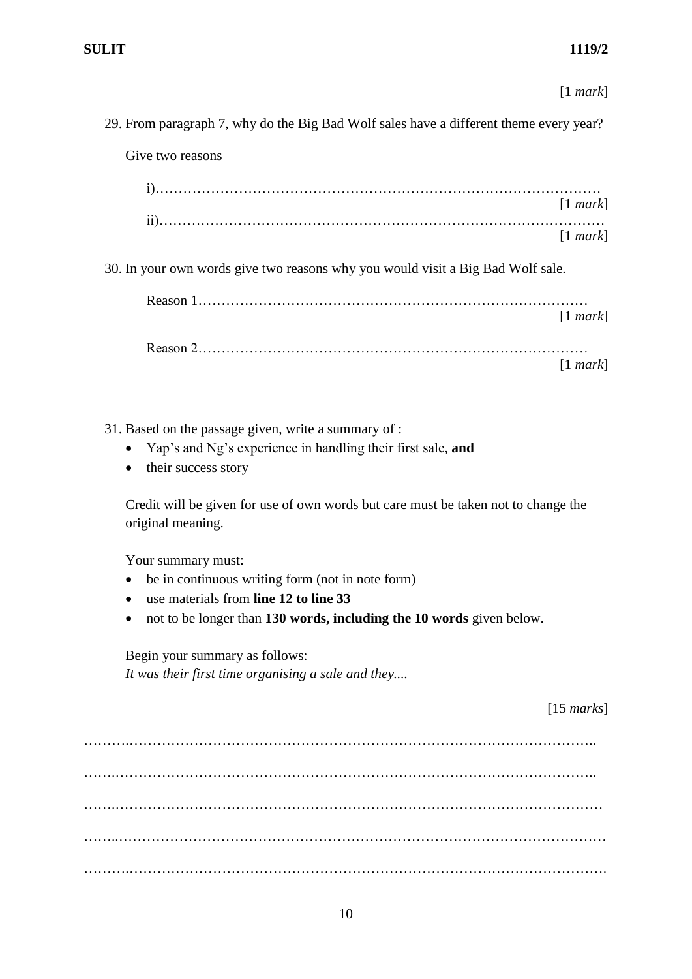[1 *mark*]

29. From paragraph 7, why do the Big Bad Wolf sales have a different theme every year?

#### Give two reasons

| $\lceil 1 \text{ mark} \rceil$ |
|--------------------------------|
|                                |
| $\lceil 1 \text{ mark} \rceil$ |

30. In your own words give two reasons why you would visit a Big Bad Wolf sale.

| $\lceil 1 \text{ mark} \rceil$ |
|--------------------------------|
|                                |
| $\lceil 1 \text{ mark} \rceil$ |

31. Based on the passage given, write a summary of :

- Yap's and Ng's experience in handling their first sale, **and**
- their success story

Credit will be given for use of own words but care must be taken not to change the original meaning.

Your summary must:

- be in continuous writing form (not in note form)
- use materials from **line 12 to line 33**
- not to be longer than **130 words, including the 10 words** given below.

Begin your summary as follows: *It was their first time organising a sale and they....*

[15 *marks*] ……….……………………………………………………………………………………….. …….…………………………………………………………………………………………… ……..…………………………………………………………………………………………… ……….………………………………………………………………………………………….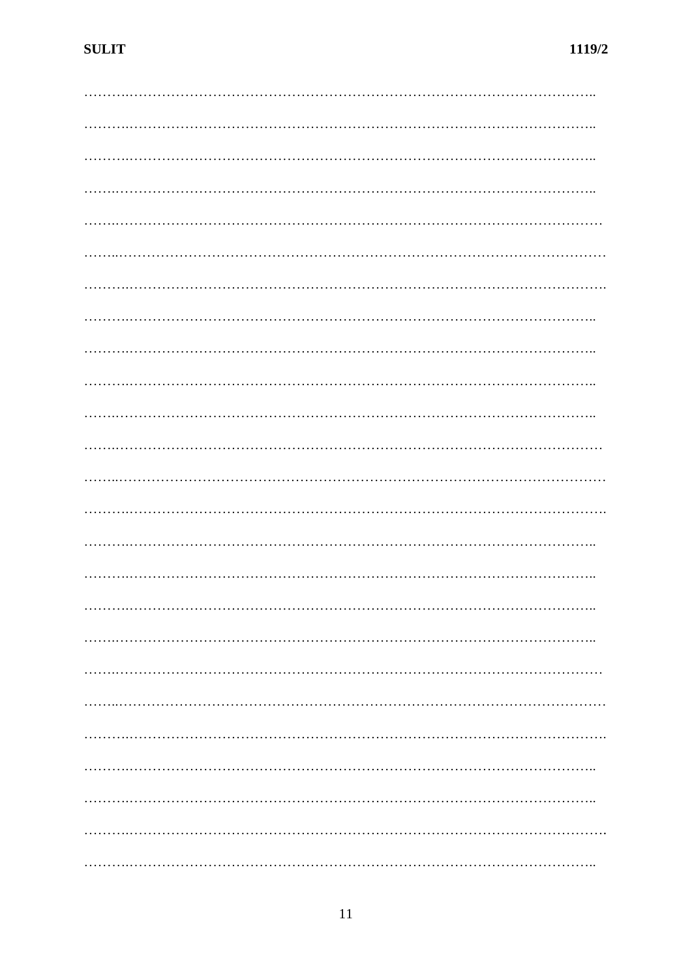| . |  |
|---|--|
|   |  |
| . |  |
|   |  |
|   |  |
|   |  |
|   |  |
|   |  |
|   |  |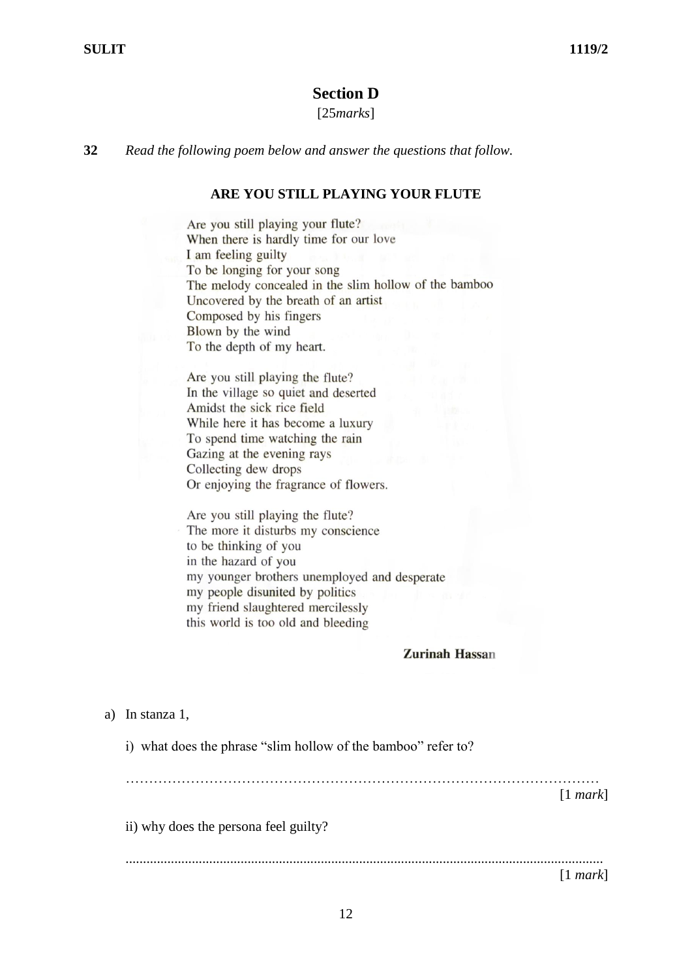#### **Section D**

[25*marks*]

**32** *Read the following poem below and answer the questions that follow.*

#### **ARE YOU STILL PLAYING YOUR FLUTE**

Are you still playing your flute? When there is hardly time for our love I am feeling guilty To be longing for your song The melody concealed in the slim hollow of the bamboo Uncovered by the breath of an artist Composed by his fingers Blown by the wind To the depth of my heart.

Are you still playing the flute? In the village so quiet and deserted Amidst the sick rice field While here it has become a luxury To spend time watching the rain Gazing at the evening rays Collecting dew drops Or enjoying the fragrance of flowers.

Are you still playing the flute? The more it disturbs my conscience to be thinking of you in the hazard of you my younger brothers unemployed and desperate my people disunited by politics my friend slaughtered mercilessly this world is too old and bleeding

#### **Zurinah Hassan**

#### a) In stanza 1,

i) what does the phrase "slim hollow of the bamboo" refer to?

………………………………………………………………………………………… [1 *mark*]

ii) why does the persona feel guilty?

.........................................................................................................................................

[1 *mark*]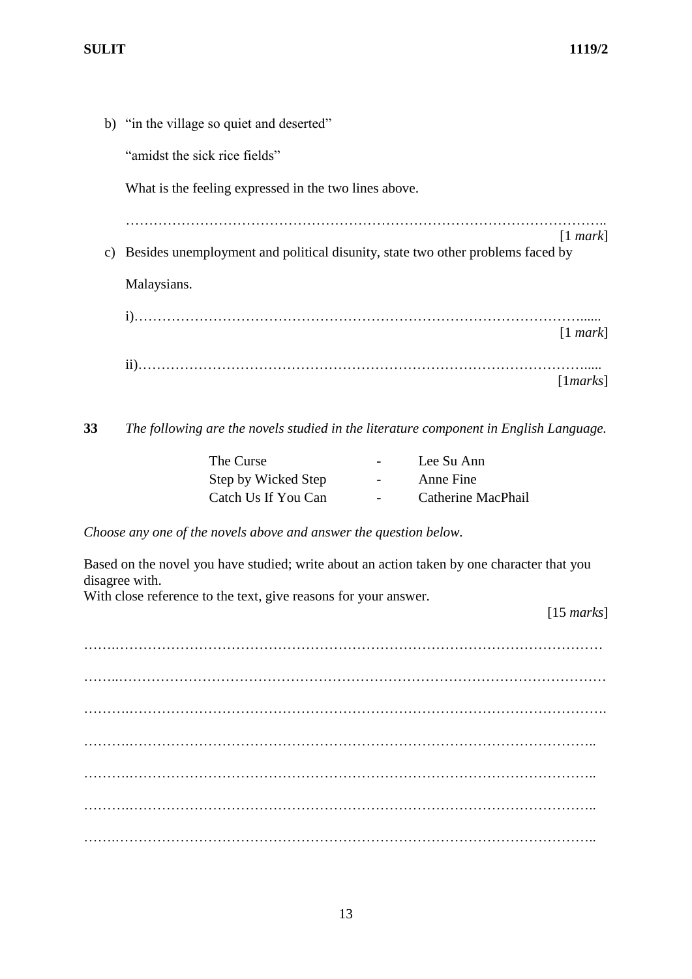b) "in the village so quiet and deserted" "amidst the sick rice fields" What is the feeling expressed in the two lines above. ………………………………………………………………………………………….. [1 *mark*] c) Besides unemployment and political disunity, state two other problems faced by Malaysians. i)……………………………………………………………………………………...... [1 *mark*] ii)……………………………………………………………………………………..... [1*marks*]

**33** *The following are the novels studied in the literature component in English Language.*

| The Curse           | Lee Su Ann         |
|---------------------|--------------------|
| Step by Wicked Step | Anne Fine          |
| Catch Us If You Can | Catherine MacPhail |

*Choose any one of the novels above and answer the question below.*

Based on the novel you have studied; write about an action taken by one character that you disagree with.

With close reference to the text, give reasons for your answer.

[15 *marks*]

…….…………………………………………………………………………………………… ……..…………………………………………………………………………………………… ……….…………………………………………………………………………………………. ……….……………………………………………………………………………………….. ……….……………………………………………………………………………………….. …….…………………………………………………………………………………………..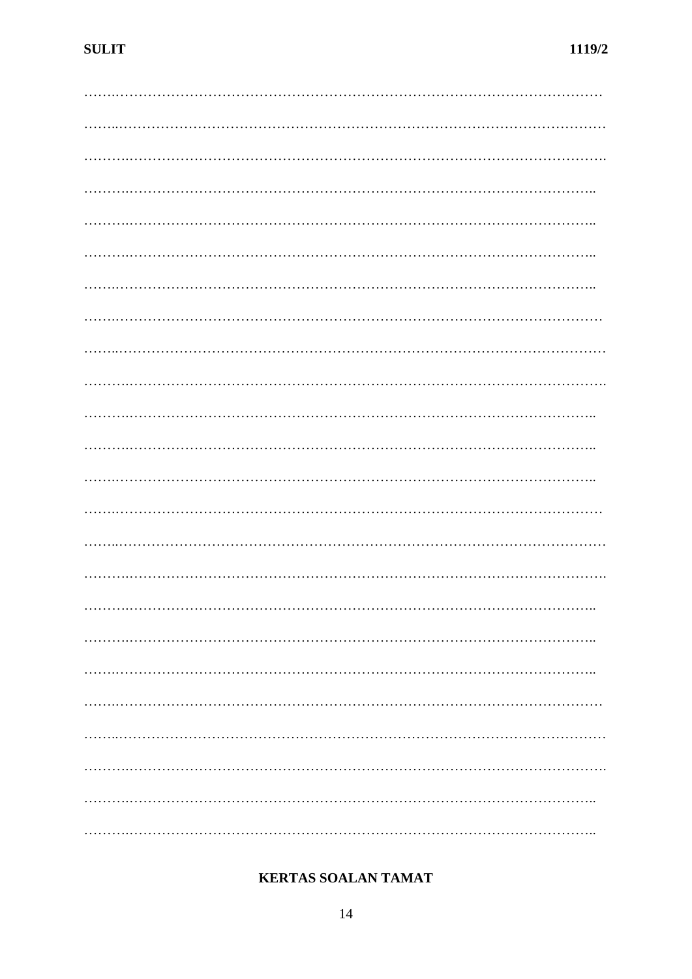| . |  |
|---|--|

### **KERTAS SOALAN TAMAT**